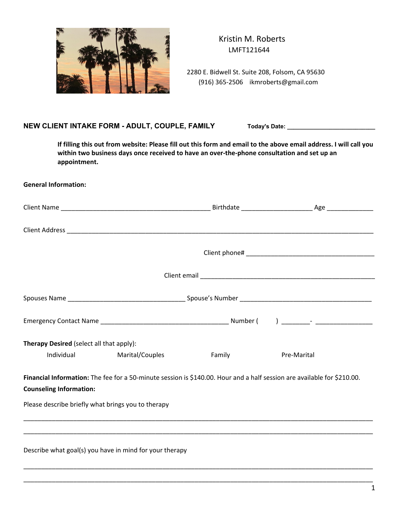

 Kristin M. Roberts LMFT121644

 2280 E. Bidwell St. Suite 208, Folsom, CA 95630 (916) 365-2506 ikmroberts@gmail.com

## NEW CLIENT INTAKE FORM - ADULT, COUPLE, FAMILY Today's Date: \_\_\_\_\_\_\_\_\_\_\_\_\_\_\_\_\_\_\_\_

**If filling this out from website: Please fill out this form and email to the above email address. I will call you within two business days once received to have an over-the-phone consultation and set up an appointment.**

## **General Information:**

| Therapy Desired (select all that apply):                |                                                                                                                         |        |             |
|---------------------------------------------------------|-------------------------------------------------------------------------------------------------------------------------|--------|-------------|
| <b>Individual</b>                                       | Marital/Couples                                                                                                         | Family | Pre-Marital |
|                                                         | Financial Information: The fee for a 50-minute session is \$140.00. Hour and a half session are available for \$210.00. |        |             |
| <b>Counseling Information:</b>                          |                                                                                                                         |        |             |
| Please describe briefly what brings you to therapy      |                                                                                                                         |        |             |
|                                                         |                                                                                                                         |        |             |
| Describe what goal(s) you have in mind for your therapy |                                                                                                                         |        |             |

\_\_\_\_\_\_\_\_\_\_\_\_\_\_\_\_\_\_\_\_\_\_\_\_\_\_\_\_\_\_\_\_\_\_\_\_\_\_\_\_\_\_\_\_\_\_\_\_\_\_\_\_\_\_\_\_\_\_\_\_\_\_\_\_\_\_\_\_\_\_\_\_\_\_\_\_\_\_\_\_\_\_\_\_\_\_\_\_\_\_\_\_\_\_\_\_\_\_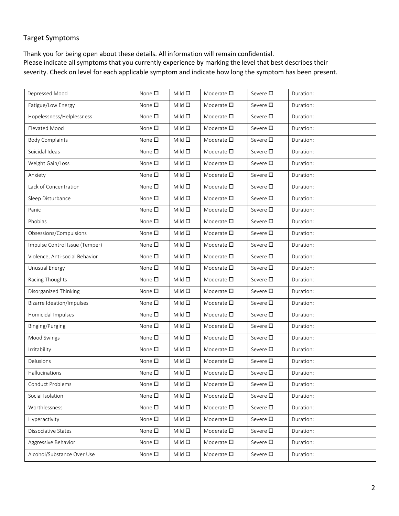## Target Symptoms

Thank you for being open about these details. All information will remain confidential. Please indicate all symptoms that you currently experience by marking the level that best describes their severity. Check on level for each applicable symptom and indicate how long the symptom has been present.

| Depressed Mood                 | None $\square$ | Mild $\square$ | Moderate $\square$ | Severe $\square$ | Duration: |
|--------------------------------|----------------|----------------|--------------------|------------------|-----------|
| Fatigue/Low Energy             | None $\square$ | Mild $\square$ | Moderate $\square$ | Severe $\square$ | Duration: |
| Hopelessness/Helplessness      | None $\square$ | Mild $\square$ | Moderate $\square$ | Severe $\square$ | Duration: |
| Elevated Mood                  | None $\square$ | Mild $\square$ | Moderate $\square$ | Severe $\square$ | Duration: |
| <b>Body Complaints</b>         | None $\square$ | Mild $\square$ | Moderate $\square$ | Severe $\square$ | Duration: |
| Suicidal Ideas                 | None $\square$ | Mild $\square$ | Moderate $\square$ | Severe $\square$ | Duration: |
| Weight Gain/Loss               | None $\square$ | Mild $\square$ | Moderate $\square$ | Severe $\square$ | Duration: |
| Anxiety                        | None $\square$ | Mild $\square$ | Moderate $\square$ | Severe $\square$ | Duration: |
| Lack of Concentration          | None $\square$ | Mild $\square$ | Moderate $\square$ | Severe $\square$ | Duration: |
| Sleep Disturbance              | None $\square$ | Mild $\square$ | Moderate $\square$ | Severe $\square$ | Duration: |
| Panic                          | None $\square$ | Mild $\square$ | Moderate $\square$ | Severe $\square$ | Duration: |
| Phobias                        | None $\square$ | Mild $\square$ | Moderate $\square$ | Severe $\square$ | Duration: |
| Obsessions/Compulsions         | None $\square$ | Mild $\square$ | Moderate $\square$ | Severe □         | Duration: |
| Impulse Control Issue (Temper) | None $\square$ | Mild $\square$ | Moderate $\square$ | Severe $\square$ | Duration: |
| Violence, Anti-social Behavior | None $\square$ | Mild $\square$ | Moderate $\square$ | Severe $\square$ | Duration: |
| Unusual Energy                 | None $\square$ | Mild $\square$ | Moderate $\square$ | Severe $\square$ | Duration: |
| Racing Thoughts                | None $\square$ | Mild $\square$ | Moderate $\square$ | Severe $\square$ | Duration: |
| Disorganized Thinking          | None $\square$ | Mild $\square$ | Moderate $\square$ | Severe $\square$ | Duration: |
| Bizarre Ideation/Impulses      | None $\square$ | Mild $\square$ | Moderate $\square$ | Severe $\square$ | Duration: |
| Homicidal Impulses             | None $\square$ | Mild $\square$ | Moderate $\square$ | Severe $\square$ | Duration: |
| Binging/Purging                | None $\square$ | Mild $\square$ | Moderate $\square$ | Severe $\square$ | Duration: |
| Mood Swings                    | None $\square$ | Mild $\square$ | Moderate $\square$ | Severe $\square$ | Duration: |
| Irritability                   | None $\square$ | Mild $\square$ | Moderate $\square$ | Severe $\square$ | Duration: |
| Delusions                      | None $\square$ | Mild $\square$ | Moderate $\square$ | Severe $\square$ | Duration: |
| Hallucinations                 | None $\square$ | Mild $\square$ | Moderate $\square$ | Severe □         | Duration: |
| Conduct Problems               | None $\square$ | Mild $\square$ | Moderate $\square$ | Severe □         | Duration: |
| Social Isolation               | None $\square$ | Mild $\square$ | Moderate $\square$ | Severe $\square$ | Duration: |
| Worthlessness                  | None $\square$ | Mild $\square$ | Moderate $\square$ | Severe $\square$ | Duration: |
| Hyperactivity                  | None $\square$ | Mild $\square$ | Moderate $\square$ | Severe $\square$ | Duration: |
| Dissociative States            | None $\square$ | Mild $\square$ | Moderate $\square$ | Severe $\square$ | Duration: |
| Aggressive Behavior            | None $\square$ | Mild $\square$ | Moderate $\square$ | Severe $\square$ | Duration: |
| Alcohol/Substance Over Use     | None $\square$ | Mild $\square$ | Moderate $\square$ | Severe $\square$ | Duration: |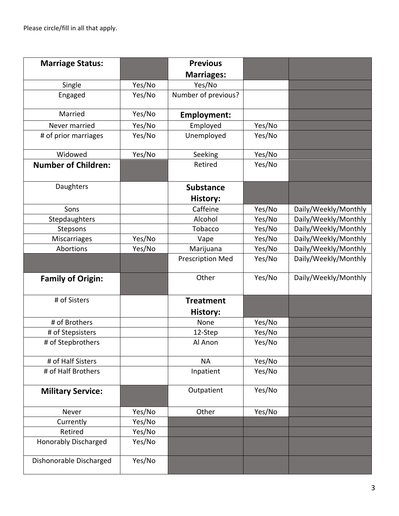Please circle/fill in all that apply.

| <b>Marriage Status:</b>     |        | <b>Previous</b>         |        |                      |
|-----------------------------|--------|-------------------------|--------|----------------------|
|                             |        | <b>Marriages:</b>       |        |                      |
| Single                      | Yes/No | Yes/No                  |        |                      |
| Engaged                     | Yes/No | Number of previous?     |        |                      |
| Married                     | Yes/No | <b>Employment:</b>      |        |                      |
| Never married               | Yes/No | Employed                | Yes/No |                      |
| # of prior marriages        | Yes/No | Unemployed              | Yes/No |                      |
| Widowed                     | Yes/No | Seeking                 | Yes/No |                      |
| <b>Number of Children:</b>  |        | Retired                 | Yes/No |                      |
| Daughters                   |        | <b>Substance</b>        |        |                      |
|                             |        | <b>History:</b>         |        |                      |
| Sons                        |        | Caffeine                | Yes/No | Daily/Weekly/Monthly |
| Stepdaughters               |        | Alcohol                 | Yes/No | Daily/Weekly/Monthly |
| Stepsons                    |        | Tobacco                 | Yes/No | Daily/Weekly/Monthly |
| Miscarriages                | Yes/No | Vape                    | Yes/No | Daily/Weekly/Monthly |
| Abortions                   | Yes/No | Marijuana               | Yes/No | Daily/Weekly/Monthly |
|                             |        | <b>Prescription Med</b> | Yes/No | Daily/Weekly/Monthly |
| <b>Family of Origin:</b>    |        | Other                   | Yes/No | Daily/Weekly/Monthly |
| # of Sisters                |        | <b>Treatment</b>        |        |                      |
|                             |        | History:                |        |                      |
| # of Brothers               |        | None                    | Yes/No |                      |
| # of Stepsisters            |        | 12-Step                 | Yes/No |                      |
| # of Stepbrothers           |        | Al Anon                 | Yes/No |                      |
| # of Half Sisters           |        | <b>NA</b>               | Yes/No |                      |
| # of Half Brothers          |        | Inpatient               | Yes/No |                      |
| <b>Military Service:</b>    |        | Outpatient              | Yes/No |                      |
| Never                       | Yes/No | Other                   | Yes/No |                      |
| Currently                   | Yes/No |                         |        |                      |
| Retired                     | Yes/No |                         |        |                      |
| <b>Honorably Discharged</b> | Yes/No |                         |        |                      |
| Dishonorable Discharged     | Yes/No |                         |        |                      |